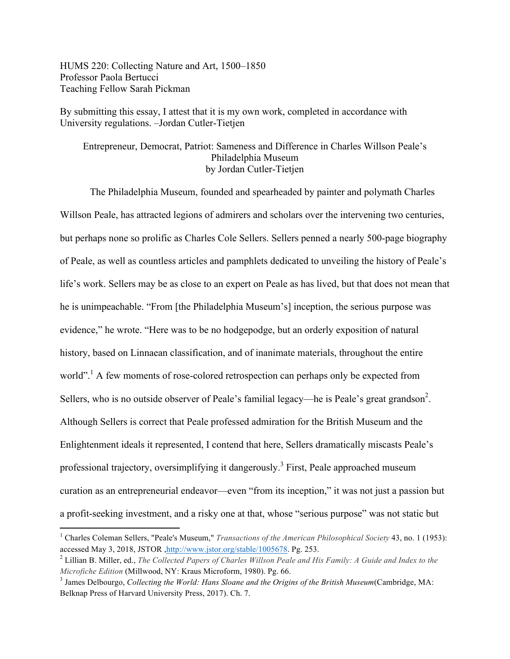HUMS 220: Collecting Nature and Art, 1500–1850 Professor Paola Bertucci Teaching Fellow Sarah Pickman

 

By submitting this essay, I attest that it is my own work, completed in accordance with University regulations. –Jordan Cutler-Tietjen

# Entrepreneur, Democrat, Patriot: Sameness and Difference in Charles Willson Peale's Philadelphia Museum by Jordan Cutler-Tietjen

The Philadelphia Museum, founded and spearheaded by painter and polymath Charles Willson Peale, has attracted legions of admirers and scholars over the intervening two centuries, but perhaps none so prolific as Charles Cole Sellers. Sellers penned a nearly 500-page biography of Peale, as well as countless articles and pamphlets dedicated to unveiling the history of Peale's life's work. Sellers may be as close to an expert on Peale as has lived, but that does not mean that he is unimpeachable. "From [the Philadelphia Museum's] inception, the serious purpose was evidence," he wrote. "Here was to be no hodgepodge, but an orderly exposition of natural history, based on Linnaean classification, and of inanimate materials, throughout the entire world".<sup>1</sup> A few moments of rose-colored retrospection can perhaps only be expected from Sellers, who is no outside observer of Peale's familial legacy—he is Peale's great grandson<sup>2</sup>. Although Sellers is correct that Peale professed admiration for the British Museum and the Enlightenment ideals it represented, I contend that here, Sellers dramatically miscasts Peale's professional trajectory, oversimplifying it dangerously.<sup>3</sup> First, Peale approached museum curation as an entrepreneurial endeavor—even "from its inception," it was not just a passion but a profit-seeking investment, and a risky one at that, whose "serious purpose" was not static but

<sup>&</sup>lt;sup>1</sup> Charles Coleman Sellers, "Peale's Museum," *Transactions of the American Philosophical Society* 43, no. 1 (1953): accessed May 3, 2018, JSTOR ,http://www.jstor.org/stable/1005678. Pg. 253.

<sup>2</sup> Lillian B. Miller, ed., *The Collected Papers of Charles Willson Peale and His Family: A Guide and Index to the Microfiche Edition* (Millwood, NY: Kraus Microform, 1980). Pg. 66.

<sup>3</sup> James Delbourgo, *Collecting the World: Hans Sloane and the Origins of the British Museum*(Cambridge, MA: Belknap Press of Harvard University Press, 2017). Ch. 7.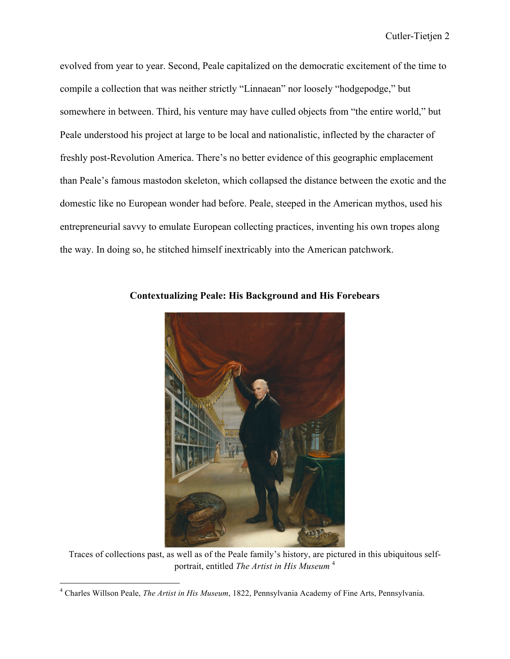evolved from year to year. Second, Peale capitalized on the democratic excitement of the time to compile a collection that was neither strictly "Linnaean" nor loosely "hodgepodge," but somewhere in between. Third, his venture may have culled objects from "the entire world," but Peale understood his project at large to be local and nationalistic, inflected by the character of freshly post-Revolution America. There's no better evidence of this geographic emplacement than Peale's famous mastodon skeleton, which collapsed the distance between the exotic and the domestic like no European wonder had before. Peale, steeped in the American mythos, used his entrepreneurial savvy to emulate European collecting practices, inventing his own tropes along the way. In doing so, he stitched himself inextricably into the American patchwork.



**Contextualizing Peale: His Background and His Forebears**

Traces of collections past, as well as of the Peale family's history, are pictured in this ubiquitous selfportrait, entitled *The Artist in His Museum* <sup>4</sup>

<sup>4</sup> Charles Willson Peale, *The Artist in His Museum*, 1822, Pennsylvania Academy of Fine Arts, Pennsylvania.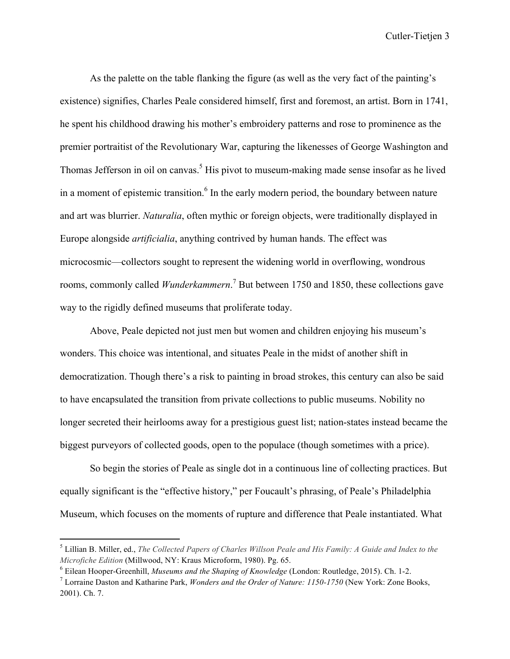As the palette on the table flanking the figure (as well as the very fact of the painting's existence) signifies, Charles Peale considered himself, first and foremost, an artist. Born in 1741, he spent his childhood drawing his mother's embroidery patterns and rose to prominence as the premier portraitist of the Revolutionary War, capturing the likenesses of George Washington and Thomas Jefferson in oil on canvas.<sup>5</sup> His pivot to museum-making made sense insofar as he lived in a moment of epistemic transition.<sup>6</sup> In the early modern period, the boundary between nature and art was blurrier. *Naturalia*, often mythic or foreign objects, were traditionally displayed in Europe alongside *artificialia*, anything contrived by human hands. The effect was microcosmic—collectors sought to represent the widening world in overflowing, wondrous rooms, commonly called *Wunderkammern*. <sup>7</sup> But between 1750 and 1850, these collections gave way to the rigidly defined museums that proliferate today.

Above, Peale depicted not just men but women and children enjoying his museum's wonders. This choice was intentional, and situates Peale in the midst of another shift in democratization. Though there's a risk to painting in broad strokes, this century can also be said to have encapsulated the transition from private collections to public museums. Nobility no longer secreted their heirlooms away for a prestigious guest list; nation-states instead became the biggest purveyors of collected goods, open to the populace (though sometimes with a price).

So begin the stories of Peale as single dot in a continuous line of collecting practices. But equally significant is the "effective history," per Foucault's phrasing, of Peale's Philadelphia Museum, which focuses on the moments of rupture and difference that Peale instantiated. What

<sup>5</sup> Lillian B. Miller, ed., *The Collected Papers of Charles Willson Peale and His Family: A Guide and Index to the Microfiche Edition* (Millwood, NY: Kraus Microform, 1980). Pg. 65.

<sup>6</sup> Eilean Hooper-Greenhill, *Museums and the Shaping of Knowledge* (London: Routledge, 2015). Ch. 1-2.

<sup>7</sup> Lorraine Daston and Katharine Park, *Wonders and the Order of Nature: 1150-1750* (New York: Zone Books, 2001). Ch. 7.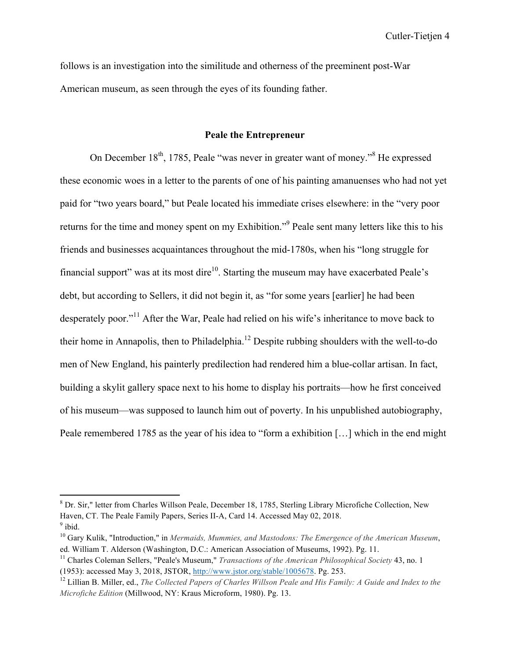follows is an investigation into the similitude and otherness of the preeminent post-War American museum, as seen through the eyes of its founding father.

### **Peale the Entrepreneur**

On December  $18<sup>th</sup>$ , 1785, Peale "was never in greater want of money."<sup>8</sup> He expressed these economic woes in a letter to the parents of one of his painting amanuenses who had not yet paid for "two years board," but Peale located his immediate crises elsewhere: in the "very poor returns for the time and money spent on my Exhibition."9 Peale sent many letters like this to his friends and businesses acquaintances throughout the mid-1780s, when his "long struggle for financial support" was at its most dire<sup>10</sup>. Starting the museum may have exacerbated Peale's debt, but according to Sellers, it did not begin it, as "for some years [earlier] he had been desperately poor."<sup>11</sup> After the War, Peale had relied on his wife's inheritance to move back to their home in Annapolis, then to Philadelphia.12 Despite rubbing shoulders with the well-to-do men of New England, his painterly predilection had rendered him a blue-collar artisan. In fact, building a skylit gallery space next to his home to display his portraits—how he first conceived of his museum—was supposed to launch him out of poverty. In his unpublished autobiography, Peale remembered 1785 as the year of his idea to "form a exhibition […] which in the end might

<sup>8</sup> Dr. Sir," letter from Charles Willson Peale, December 18, 1785, Sterling Library Microfiche Collection, New Haven, CT. The Peale Family Papers, Series II-A, Card 14. Accessed May 02, 2018.  $9$  ibid.

<sup>10</sup> Gary Kulik, "Introduction," in *Mermaids, Mummies, and Mastodons: The Emergence of the American Museum*, ed. William T. Alderson (Washington, D.C.: American Association of Museums, 1992). Pg. 11.

<sup>11</sup> Charles Coleman Sellers, "Peale's Museum," *Transactions of the American Philosophical Society* 43, no. 1 (1953): accessed May 3, 2018, JSTOR, http://www.jstor.org/stable/1005678. Pg. 253.

<sup>12</sup> Lillian B. Miller, ed., *The Collected Papers of Charles Willson Peale and His Family: A Guide and Index to the Microfiche Edition* (Millwood, NY: Kraus Microform, 1980). Pg. 13.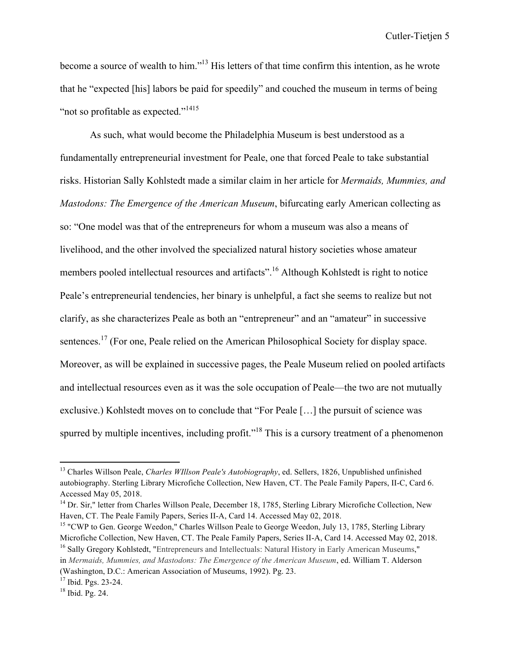become a source of wealth to him."13 His letters of that time confirm this intention, as he wrote that he "expected [his] labors be paid for speedily" and couched the museum in terms of being "not so profitable as expected."<sup>1415</sup>

As such, what would become the Philadelphia Museum is best understood as a fundamentally entrepreneurial investment for Peale, one that forced Peale to take substantial risks. Historian Sally Kohlstedt made a similar claim in her article for *Mermaids, Mummies, and Mastodons: The Emergence of the American Museum*, bifurcating early American collecting as so: "One model was that of the entrepreneurs for whom a museum was also a means of livelihood, and the other involved the specialized natural history societies whose amateur members pooled intellectual resources and artifacts".<sup>16</sup> Although Kohlstedt is right to notice Peale's entrepreneurial tendencies, her binary is unhelpful, a fact she seems to realize but not clarify, as she characterizes Peale as both an "entrepreneur" and an "amateur" in successive sentences.<sup>17</sup> (For one, Peale relied on the American Philosophical Society for display space. Moreover, as will be explained in successive pages, the Peale Museum relied on pooled artifacts and intellectual resources even as it was the sole occupation of Peale—the two are not mutually exclusive.) Kohlstedt moves on to conclude that "For Peale […] the pursuit of science was spurred by multiple incentives, including profit."<sup>18</sup> This is a cursory treatment of a phenomenon

<sup>13</sup> Charles Willson Peale, *Charles WIllson Peale's Autobiography*, ed. Sellers, 1826, Unpublished unfinished autobiography. Sterling Library Microfiche Collection, New Haven, CT. The Peale Family Papers, II-C, Card 6. Accessed May 05, 2018.

<sup>&</sup>lt;sup>14</sup> Dr. Sir," letter from Charles Willson Peale, December 18, 1785, Sterling Library Microfiche Collection, New Haven, CT. The Peale Family Papers, Series II-A, Card 14. Accessed May 02, 2018.

<sup>&</sup>lt;sup>15</sup> "CWP to Gen. George Weedon," Charles Willson Peale to George Weedon, July 13, 1785, Sterling Library Microfiche Collection, New Haven, CT. The Peale Family Papers, Series II-A, Card 14. Accessed May 02, 2018. <sup>16</sup> Sally Gregory Kohlstedt, "Entrepreneurs and Intellectuals: Natural History in Early American Museums," in *Mermaids, Mummies, and Mastodons: The Emergence of the American Museum*, ed. William T. Alderson (Washington, D.C.: American Association of Museums, 1992). Pg. 23.

<sup>17</sup> Ibid. Pgs. 23-24.

<sup>18</sup> Ibid. Pg. 24.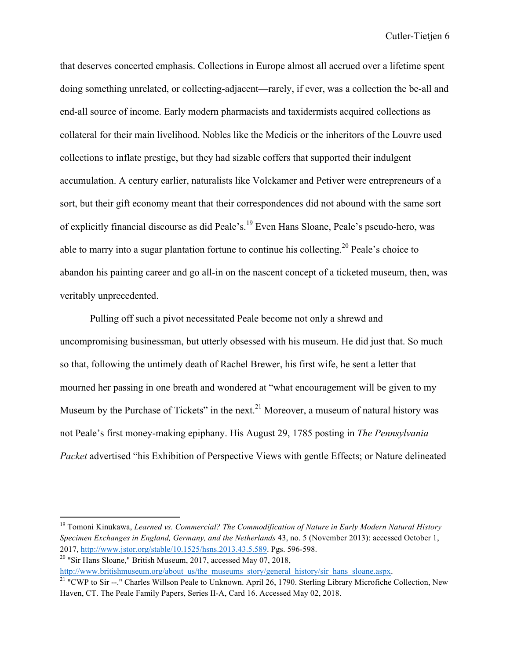that deserves concerted emphasis. Collections in Europe almost all accrued over a lifetime spent doing something unrelated, or collecting-adjacent—rarely, if ever, was a collection the be-all and end-all source of income. Early modern pharmacists and taxidermists acquired collections as collateral for their main livelihood. Nobles like the Medicis or the inheritors of the Louvre used collections to inflate prestige, but they had sizable coffers that supported their indulgent accumulation. A century earlier, naturalists like Volckamer and Petiver were entrepreneurs of a sort, but their gift economy meant that their correspondences did not abound with the same sort of explicitly financial discourse as did Peale's.<sup>19</sup> Even Hans Sloane, Peale's pseudo-hero, was able to marry into a sugar plantation fortune to continue his collecting.<sup>20</sup> Peale's choice to abandon his painting career and go all-in on the nascent concept of a ticketed museum, then, was veritably unprecedented.

Pulling off such a pivot necessitated Peale become not only a shrewd and uncompromising businessman, but utterly obsessed with his museum. He did just that. So much so that, following the untimely death of Rachel Brewer, his first wife, he sent a letter that mourned her passing in one breath and wondered at "what encouragement will be given to my Museum by the Purchase of Tickets" in the next.<sup>21</sup> Moreover, a museum of natural history was not Peale's first money-making epiphany. His August 29, 1785 posting in *The Pennsylvania Packet* advertised "his Exhibition of Perspective Views with gentle Effects; or Nature delineated

 $20$  "Sir Hans Sloane," British Museum, 2017, accessed May 07, 2018,

 

http://www.britishmuseum.org/about\_us/the\_museums\_story/general\_history/sir\_hans\_sloane.aspx.

<sup>19</sup> Tomoni Kinukawa, *Learned vs. Commercial? The Commodification of Nature in Early Modern Natural History Specimen Exchanges in England, Germany, and the Netherlands* 43, no. 5 (November 2013): accessed October 1, 2017, http://www.jstor.org/stable/10.1525/hsns.2013.43.5.589. Pgs. 596-598.

 $21$  "CWP to Sir --." Charles Willson Peale to Unknown. April 26, 1790. Sterling Library Microfiche Collection, New Haven, CT. The Peale Family Papers, Series II-A, Card 16. Accessed May 02, 2018.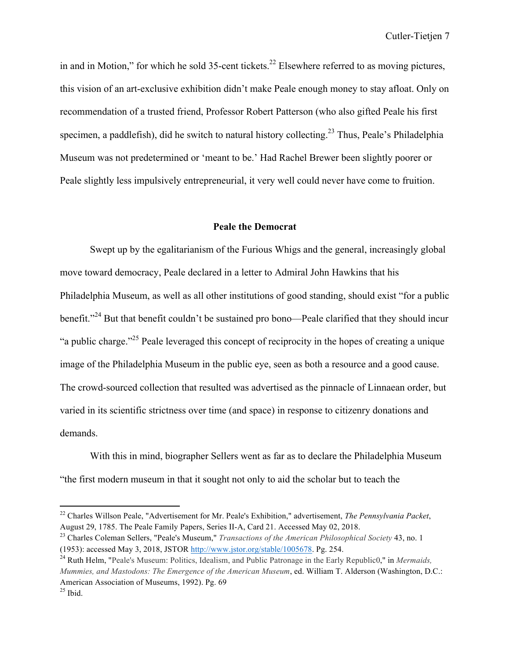in and in Motion," for which he sold 35-cent tickets.<sup>22</sup> Elsewhere referred to as moving pictures, this vision of an art-exclusive exhibition didn't make Peale enough money to stay afloat. Only on recommendation of a trusted friend, Professor Robert Patterson (who also gifted Peale his first specimen, a paddlefish), did he switch to natural history collecting.<sup>23</sup> Thus, Peale's Philadelphia Museum was not predetermined or 'meant to be.' Had Rachel Brewer been slightly poorer or Peale slightly less impulsively entrepreneurial, it very well could never have come to fruition.

## **Peale the Democrat**

Swept up by the egalitarianism of the Furious Whigs and the general, increasingly global move toward democracy, Peale declared in a letter to Admiral John Hawkins that his Philadelphia Museum, as well as all other institutions of good standing, should exist "for a public benefit."<sup>24</sup> But that benefit couldn't be sustained pro bono—Peale clarified that they should incur "a public charge."25 Peale leveraged this concept of reciprocity in the hopes of creating a unique image of the Philadelphia Museum in the public eye, seen as both a resource and a good cause. The crowd-sourced collection that resulted was advertised as the pinnacle of Linnaean order, but varied in its scientific strictness over time (and space) in response to citizenry donations and demands.

With this in mind, biographer Sellers went as far as to declare the Philadelphia Museum "the first modern museum in that it sought not only to aid the scholar but to teach the

<sup>22</sup> Charles Willson Peale, "Advertisement for Mr. Peale's Exhibition," advertisement, *The Pennsylvania Packet*, August 29, 1785. The Peale Family Papers, Series II-A, Card 21. Accessed May 02, 2018.

<sup>23</sup> Charles Coleman Sellers, "Peale's Museum," *Transactions of the American Philosophical Society* 43, no. 1 (1953): accessed May 3, 2018, JSTOR http://www.jstor.org/stable/1005678. Pg. 254.

<sup>24</sup> Ruth Helm, "Peale's Museum: Politics, Idealism, and Public Patronage in the Early Republic0," in *Mermaids, Mummies, and Mastodons: The Emergence of the American Museum*, ed. William T. Alderson (Washington, D.C.: American Association of Museums, 1992). Pg. 69

 $25$  Ibid.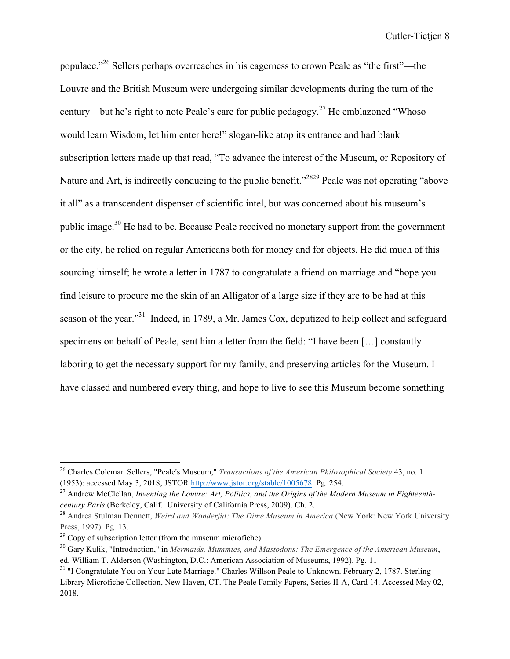populace."26 Sellers perhaps overreaches in his eagerness to crown Peale as "the first"—the Louvre and the British Museum were undergoing similar developments during the turn of the century—but he's right to note Peale's care for public pedagogy.<sup>27</sup> He emblazoned "Whoso" would learn Wisdom, let him enter here!" slogan-like atop its entrance and had blank subscription letters made up that read, "To advance the interest of the Museum, or Repository of Nature and Art, is indirectly conducing to the public benefit."<sup>2829</sup> Peale was not operating "above" it all" as a transcendent dispenser of scientific intel, but was concerned about his museum's public image.30 He had to be. Because Peale received no monetary support from the government or the city, he relied on regular Americans both for money and for objects. He did much of this sourcing himself; he wrote a letter in 1787 to congratulate a friend on marriage and "hope you find leisure to procure me the skin of an Alligator of a large size if they are to be had at this season of the year."<sup>31</sup> Indeed, in 1789, a Mr. James Cox, deputized to help collect and safeguard specimens on behalf of Peale, sent him a letter from the field: "I have been […] constantly laboring to get the necessary support for my family, and preserving articles for the Museum. I have classed and numbered every thing, and hope to live to see this Museum become something

<sup>26</sup> Charles Coleman Sellers, "Peale's Museum," *Transactions of the American Philosophical Society* 43, no. 1 (1953): accessed May 3, 2018, JSTOR http://www.jstor.org/stable/1005678. Pg. 254.

<sup>27</sup> Andrew McClellan, *Inventing the Louvre: Art, Politics, and the Origins of the Modern Museum in Eighteenthcentury Paris* (Berkeley, Calif.: University of California Press, 2009). Ch. 2.

<sup>28</sup> Andrea Stulman Dennett, *Weird and Wonderful: The Dime Museum in America* (New York: New York University Press, 1997). Pg. 13.

 $29^{\circ}$  Copy of subscription letter (from the museum microfiche)

<sup>30</sup> Gary Kulik, "Introduction," in *Mermaids, Mummies, and Mastodons: The Emergence of the American Museum*, ed. William T. Alderson (Washington, D.C.: American Association of Museums, 1992). Pg. 11

<sup>&</sup>lt;sup>31</sup> "I Congratulate You on Your Late Marriage." Charles Willson Peale to Unknown. February 2, 1787. Sterling Library Microfiche Collection, New Haven, CT. The Peale Family Papers, Series II-A, Card 14. Accessed May 02, 2018.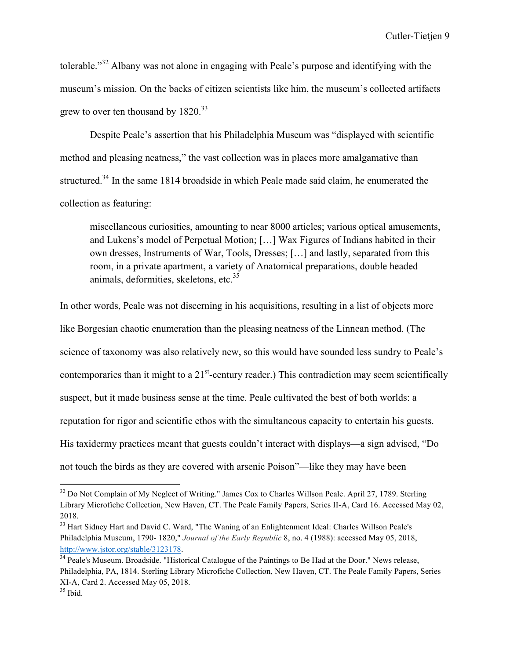tolerable."<sup>32</sup> Albany was not alone in engaging with Peale's purpose and identifying with the museum's mission. On the backs of citizen scientists like him, the museum's collected artifacts grew to over ten thousand by 1820.<sup>33</sup>

Despite Peale's assertion that his Philadelphia Museum was "displayed with scientific method and pleasing neatness," the vast collection was in places more amalgamative than structured.<sup>34</sup> In the same 1814 broadside in which Peale made said claim, he enumerated the collection as featuring:

miscellaneous curiosities, amounting to near 8000 articles; various optical amusements, and Lukens's model of Perpetual Motion; […] Wax Figures of Indians habited in their own dresses, Instruments of War, Tools, Dresses; […] and lastly, separated from this room, in a private apartment, a variety of Anatomical preparations, double headed animals, deformities, skeletons, etc. $35$ 

In other words, Peale was not discerning in his acquisitions, resulting in a list of objects more like Borgesian chaotic enumeration than the pleasing neatness of the Linnean method. (The science of taxonomy was also relatively new, so this would have sounded less sundry to Peale's contemporaries than it might to a  $21<sup>st</sup>$ -century reader.) This contradiction may seem scientifically suspect, but it made business sense at the time. Peale cultivated the best of both worlds: a reputation for rigor and scientific ethos with the simultaneous capacity to entertain his guests. His taxidermy practices meant that guests couldn't interact with displays—a sign advised, "Do not touch the birds as they are covered with arsenic Poison"—like they may have been

<sup>&</sup>lt;sup>32</sup> Do Not Complain of My Neglect of Writing." James Cox to Charles Willson Peale. April 27, 1789. Sterling Library Microfiche Collection, New Haven, CT. The Peale Family Papers, Series II-A, Card 16. Accessed May 02, 2018.

<sup>&</sup>lt;sup>33</sup> Hart Sidney Hart and David C. Ward, "The Waning of an Enlightenment Ideal: Charles Willson Peale's Philadelphia Museum, 1790- 1820," *Journal of the Early Republic* 8, no. 4 (1988): accessed May 05, 2018, http://www.jstor.org/stable/3123178.<br><sup>34</sup> Peale's Museum. Broadside. "Historical Catalogue of the Paintings to Be Had at the Door." News release,

Philadelphia, PA, 1814. Sterling Library Microfiche Collection, New Haven, CT. The Peale Family Papers, Series XI-A, Card 2. Accessed May 05, 2018.

 $35$  Ibid.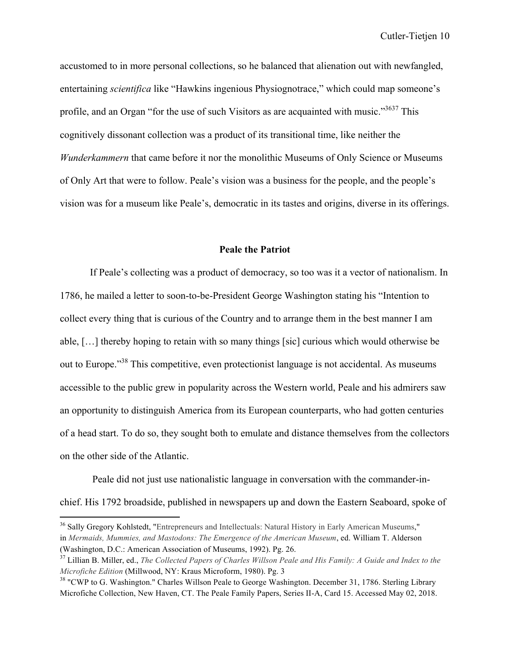accustomed to in more personal collections, so he balanced that alienation out with newfangled, entertaining *scientifica* like "Hawkins ingenious Physiognotrace," which could map someone's profile, and an Organ "for the use of such Visitors as are acquainted with music."<sup>3637</sup> This cognitively dissonant collection was a product of its transitional time, like neither the *Wunderkammern* that came before it nor the monolithic Museums of Only Science or Museums of Only Art that were to follow. Peale's vision was a business for the people, and the people's vision was for a museum like Peale's, democratic in its tastes and origins, diverse in its offerings.

## **Peale the Patriot**

If Peale's collecting was a product of democracy, so too was it a vector of nationalism. In 1786, he mailed a letter to soon-to-be-President George Washington stating his "Intention to collect every thing that is curious of the Country and to arrange them in the best manner I am able, […] thereby hoping to retain with so many things [sic] curious which would otherwise be out to Europe."<sup>38</sup> This competitive, even protectionist language is not accidental. As museums accessible to the public grew in popularity across the Western world, Peale and his admirers saw an opportunity to distinguish America from its European counterparts, who had gotten centuries of a head start. To do so, they sought both to emulate and distance themselves from the collectors on the other side of the Atlantic.

Peale did not just use nationalistic language in conversation with the commander-inchief. His 1792 broadside, published in newspapers up and down the Eastern Seaboard, spoke of

<sup>&</sup>lt;sup>36</sup> Sally Gregory Kohlstedt, "Entrepreneurs and Intellectuals: Natural History in Early American Museums," in *Mermaids, Mummies, and Mastodons: The Emergence of the American Museum*, ed. William T. Alderson (Washington, D.C.: American Association of Museums, 1992). Pg. 26.

<sup>37</sup> Lillian B. Miller, ed., *The Collected Papers of Charles Willson Peale and His Family: A Guide and Index to the Microfiche Edition* (Millwood, NY: Kraus Microform, 1980). Pg. 3

<sup>&</sup>lt;sup>38</sup> "CWP to G. Washington." Charles Willson Peale to George Washington. December 31, 1786. Sterling Library Microfiche Collection, New Haven, CT. The Peale Family Papers, Series II-A, Card 15. Accessed May 02, 2018.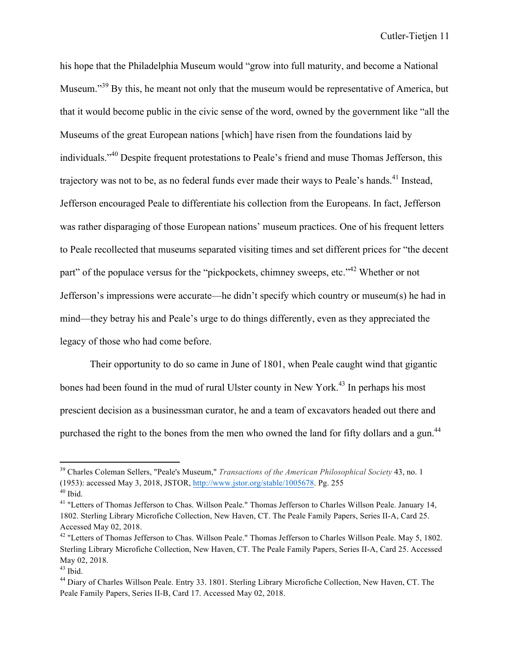his hope that the Philadelphia Museum would "grow into full maturity, and become a National Museum."<sup>39</sup> By this, he meant not only that the museum would be representative of America, but that it would become public in the civic sense of the word, owned by the government like "all the Museums of the great European nations [which] have risen from the foundations laid by individuals."<sup>40</sup> Despite frequent protestations to Peale's friend and muse Thomas Jefferson, this trajectory was not to be, as no federal funds ever made their ways to Peale's hands.<sup>41</sup> Instead, Jefferson encouraged Peale to differentiate his collection from the Europeans. In fact, Jefferson was rather disparaging of those European nations' museum practices. One of his frequent letters to Peale recollected that museums separated visiting times and set different prices for "the decent part" of the populace versus for the "pickpockets, chimney sweeps, etc."<sup>42</sup> Whether or not Jefferson's impressions were accurate—he didn't specify which country or museum(s) he had in mind—they betray his and Peale's urge to do things differently, even as they appreciated the legacy of those who had come before.

Their opportunity to do so came in June of 1801, when Peale caught wind that gigantic bones had been found in the mud of rural Ulster county in New York.<sup>43</sup> In perhaps his most prescient decision as a businessman curator, he and a team of excavators headed out there and purchased the right to the bones from the men who owned the land for fifty dollars and a gun.<sup>44</sup>

<sup>39</sup> Charles Coleman Sellers, "Peale's Museum," *Transactions of the American Philosophical Society* 43, no. 1 (1953): accessed May 3, 2018, JSTOR, http://www.jstor.org/stable/1005678. Pg. 255  $40$  Ibid.

<sup>&</sup>lt;sup>41</sup> "Letters of Thomas Jefferson to Chas. Willson Peale." Thomas Jefferson to Charles Willson Peale. January 14, 1802. Sterling Library Microfiche Collection, New Haven, CT. The Peale Family Papers, Series II-A, Card 25. Accessed May 02, 2018.

<sup>&</sup>lt;sup>42</sup> "Letters of Thomas Jefferson to Chas. Willson Peale." Thomas Jefferson to Charles Willson Peale. May 5, 1802. Sterling Library Microfiche Collection, New Haven, CT. The Peale Family Papers, Series II-A, Card 25. Accessed May 02, 2018.

 $43$  Ibid.

<sup>44</sup> Diary of Charles Willson Peale. Entry 33. 1801. Sterling Library Microfiche Collection, New Haven, CT. The Peale Family Papers, Series II-B, Card 17. Accessed May 02, 2018.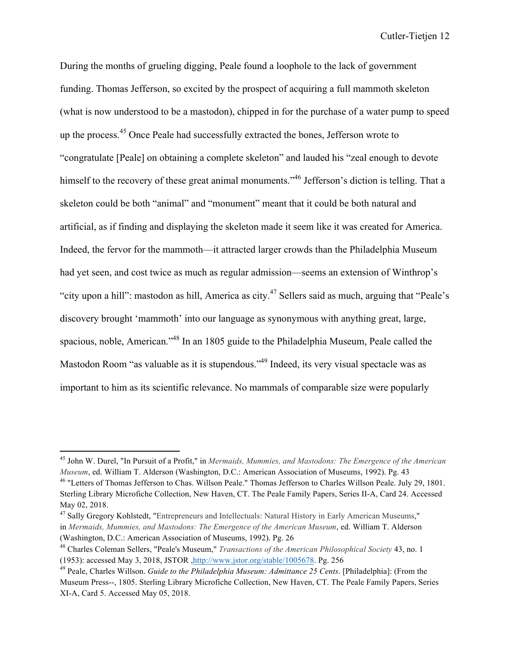During the months of grueling digging, Peale found a loophole to the lack of government funding. Thomas Jefferson, so excited by the prospect of acquiring a full mammoth skeleton (what is now understood to be a mastodon), chipped in for the purchase of a water pump to speed up the process.<sup>45</sup> Once Peale had successfully extracted the bones, Jefferson wrote to "congratulate [Peale] on obtaining a complete skeleton" and lauded his "zeal enough to devote himself to the recovery of these great animal monuments."<sup>46</sup> Jefferson's diction is telling. That a skeleton could be both "animal" and "monument" meant that it could be both natural and artificial, as if finding and displaying the skeleton made it seem like it was created for America. Indeed, the fervor for the mammoth—it attracted larger crowds than the Philadelphia Museum had yet seen, and cost twice as much as regular admission—seems an extension of Winthrop's "city upon a hill": mastodon as hill, America as city.<sup>47</sup> Sellers said as much, arguing that "Peale's discovery brought 'mammoth' into our language as synonymous with anything great, large, spacious, noble, American."<sup>48</sup> In an 1805 guide to the Philadelphia Museum, Peale called the Mastodon Room "as valuable as it is stupendous."<sup>49</sup> Indeed, its very visual spectacle was as important to him as its scientific relevance. No mammals of comparable size were popularly

<sup>45</sup> John W. Durel, "In Pursuit of a Profit," in *Mermaids, Mummies, and Mastodons: The Emergence of the American Museum*, ed. William T. Alderson (Washington, D.C.: American Association of Museums, 1992). Pg. 43

<sup>&</sup>lt;sup>46</sup> "Letters of Thomas Jefferson to Chas. Willson Peale." Thomas Jefferson to Charles Willson Peale. July 29, 1801. Sterling Library Microfiche Collection, New Haven, CT. The Peale Family Papers, Series II-A, Card 24. Accessed May 02, 2018.

<sup>47</sup> Sally Gregory Kohlstedt, "Entrepreneurs and Intellectuals: Natural History in Early American Museums," in *Mermaids, Mummies, and Mastodons: The Emergence of the American Museum*, ed. William T. Alderson (Washington, D.C.: American Association of Museums, 1992). Pg. 26

<sup>48</sup> Charles Coleman Sellers, "Peale's Museum," *Transactions of the American Philosophical Society* 43, no. 1 (1953): accessed May 3, 2018, JSTOR ,http://www.jstor.org/stable/1005678. Pg. 256

<sup>49</sup> Peale, Charles Willson. *Guide to the Philadelphia Museum: Admittance 25 Cents*. [Philadelphia]: (From the Museum Press--, 1805. Sterling Library Microfiche Collection, New Haven, CT. The Peale Family Papers, Series XI-A, Card 5. Accessed May 05, 2018.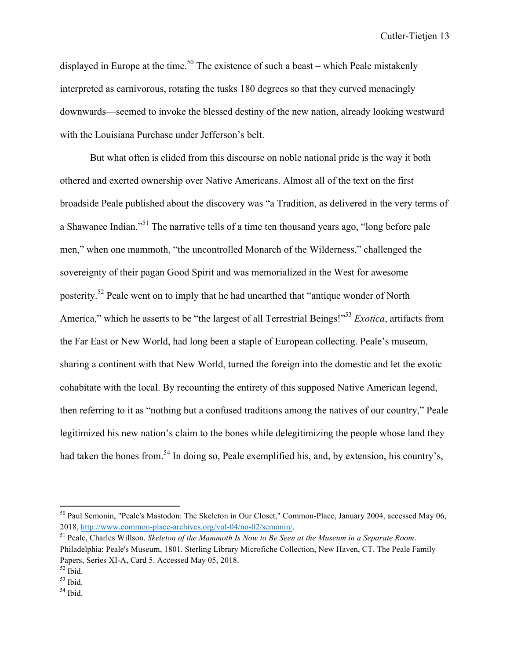displayed in Europe at the time.<sup>50</sup> The existence of such a beast – which Peale mistakenly interpreted as carnivorous, rotating the tusks 180 degrees so that they curved menacingly downwards—seemed to invoke the blessed destiny of the new nation, already looking westward with the Louisiana Purchase under Jefferson's belt.

But what often is elided from this discourse on noble national pride is the way it both othered and exerted ownership over Native Americans. Almost all of the text on the first broadside Peale published about the discovery was "a Tradition, as delivered in the very terms of a Shawanee Indian."51 The narrative tells of a time ten thousand years ago, "long before pale men," when one mammoth, "the uncontrolled Monarch of the Wilderness," challenged the sovereignty of their pagan Good Spirit and was memorialized in the West for awesome posterity.52 Peale went on to imply that he had unearthed that "antique wonder of North America," which he asserts to be "the largest of all Terrestrial Beings!"53 *Exotica*, artifacts from the Far East or New World, had long been a staple of European collecting. Peale's museum, sharing a continent with that New World, turned the foreign into the domestic and let the exotic cohabitate with the local. By recounting the entirety of this supposed Native American legend, then referring to it as "nothing but a confused traditions among the natives of our country," Peale legitimized his new nation's claim to the bones while delegitimizing the people whose land they had taken the bones from.<sup>54</sup> In doing so, Peale exemplified his, and, by extension, his country's,

<sup>50</sup> Paul Semonin, "Peale's Mastodon: The Skeleton in Our Closet," Common-Place, January 2004, accessed May 06, 2018, http://www.common-place-archives.org/vol-04/no-02/semonin/.

<sup>51</sup> Peale, Charles Willson. *Skeleton of the Mammoth Is Now to Be Seen at the Museum in a Separate Room*. Philadelphia: Peale's Museum, 1801. Sterling Library Microfiche Collection, New Haven, CT. The Peale Family Papers, Series XI-A, Card 5. Accessed May 05, 2018.

 $52$  Ibid.

 $53$  Ibid.

 $54$  Ibid.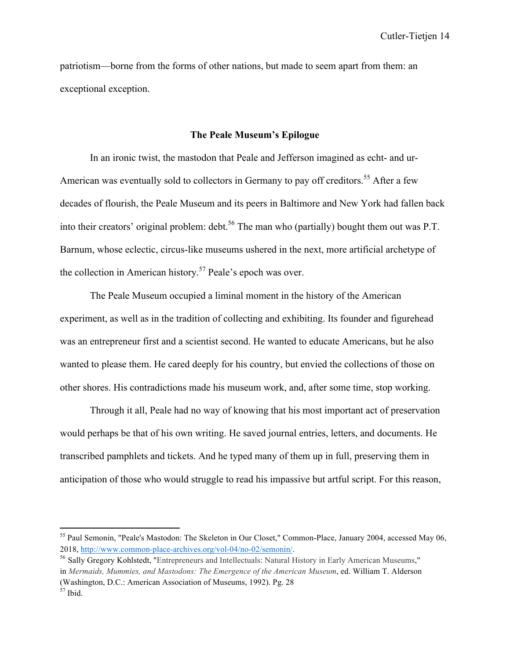patriotism—borne from the forms of other nations, but made to seem apart from them: an exceptional exception.

#### **The Peale Museum's Epilogue**

In an ironic twist, the mastodon that Peale and Jefferson imagined as echt- and ur-American was eventually sold to collectors in Germany to pay off creditors.<sup>55</sup> After a few decades of flourish, the Peale Museum and its peers in Baltimore and New York had fallen back into their creators' original problem: debt.<sup>56</sup> The man who (partially) bought them out was P.T. Barnum, whose eclectic, circus-like museums ushered in the next, more artificial archetype of the collection in American history.<sup>57</sup> Peale's epoch was over.

The Peale Museum occupied a liminal moment in the history of the American experiment, as well as in the tradition of collecting and exhibiting. Its founder and figurehead was an entrepreneur first and a scientist second. He wanted to educate Americans, but he also wanted to please them. He cared deeply for his country, but envied the collections of those on other shores. His contradictions made his museum work, and, after some time, stop working.

Through it all, Peale had no way of knowing that his most important act of preservation would perhaps be that of his own writing. He saved journal entries, letters, and documents. He transcribed pamphlets and tickets. And he typed many of them up in full, preserving them in anticipation of those who would struggle to read his impassive but artful script. For this reason,

<sup>55</sup> Paul Semonin, "Peale's Mastodon: The Skeleton in Our Closet," Common-Place, January 2004, accessed May 06, 2018, http://www.common-place-archives.org/vol-04/no-02/semonin/.

<sup>56</sup> Sally Gregory Kohlstedt, "Entrepreneurs and Intellectuals: Natural History in Early American Museums," in *Mermaids, Mummies, and Mastodons: The Emergence of the American Museum*, ed. William T. Alderson (Washington, D.C.: American Association of Museums, 1992). Pg. 28

 $57$  Ibid.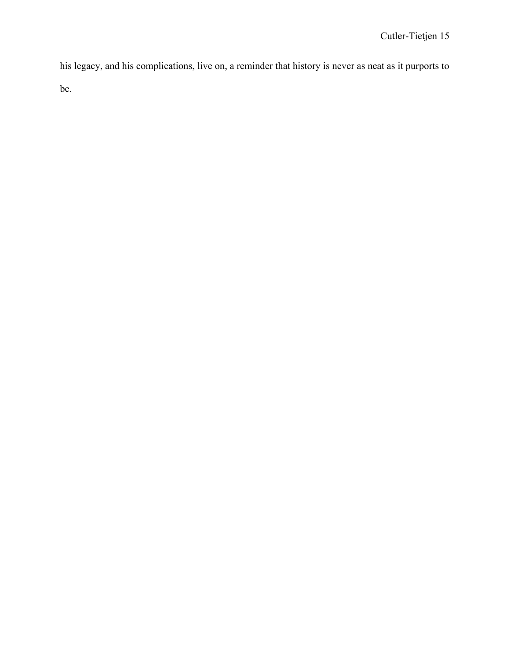his legacy, and his complications, live on, a reminder that history is never as neat as it purports to be.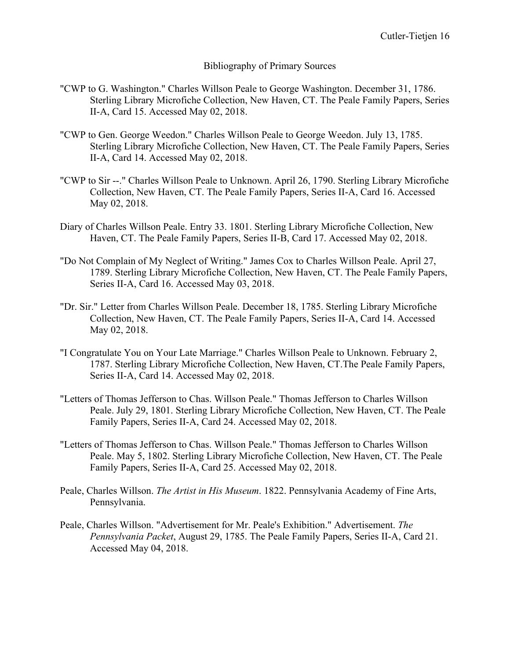## Bibliography of Primary Sources

- "CWP to G. Washington." Charles Willson Peale to George Washington. December 31, 1786. Sterling Library Microfiche Collection, New Haven, CT. The Peale Family Papers, Series II-A, Card 15. Accessed May 02, 2018.
- "CWP to Gen. George Weedon." Charles Willson Peale to George Weedon. July 13, 1785. Sterling Library Microfiche Collection, New Haven, CT. The Peale Family Papers, Series II-A, Card 14. Accessed May 02, 2018.
- "CWP to Sir --." Charles Willson Peale to Unknown. April 26, 1790. Sterling Library Microfiche Collection, New Haven, CT. The Peale Family Papers, Series II-A, Card 16. Accessed May 02, 2018.
- Diary of Charles Willson Peale. Entry 33. 1801. Sterling Library Microfiche Collection, New Haven, CT. The Peale Family Papers, Series II-B, Card 17. Accessed May 02, 2018.
- "Do Not Complain of My Neglect of Writing." James Cox to Charles Willson Peale. April 27, 1789. Sterling Library Microfiche Collection, New Haven, CT. The Peale Family Papers, Series II-A, Card 16. Accessed May 03, 2018.
- "Dr. Sir." Letter from Charles Willson Peale. December 18, 1785. Sterling Library Microfiche Collection, New Haven, CT. The Peale Family Papers, Series II-A, Card 14. Accessed May 02, 2018.
- "I Congratulate You on Your Late Marriage." Charles Willson Peale to Unknown. February 2, 1787. Sterling Library Microfiche Collection, New Haven, CT.The Peale Family Papers, Series II-A, Card 14. Accessed May 02, 2018.
- "Letters of Thomas Jefferson to Chas. Willson Peale." Thomas Jefferson to Charles Willson Peale. July 29, 1801. Sterling Library Microfiche Collection, New Haven, CT. The Peale Family Papers, Series II-A, Card 24. Accessed May 02, 2018.
- "Letters of Thomas Jefferson to Chas. Willson Peale." Thomas Jefferson to Charles Willson Peale. May 5, 1802. Sterling Library Microfiche Collection, New Haven, CT. The Peale Family Papers, Series II-A, Card 25. Accessed May 02, 2018.
- Peale, Charles Willson. *The Artist in His Museum*. 1822. Pennsylvania Academy of Fine Arts, Pennsylvania.
- Peale, Charles Willson. "Advertisement for Mr. Peale's Exhibition." Advertisement. *The Pennsylvania Packet*, August 29, 1785. The Peale Family Papers, Series II-A, Card 21. Accessed May 04, 2018.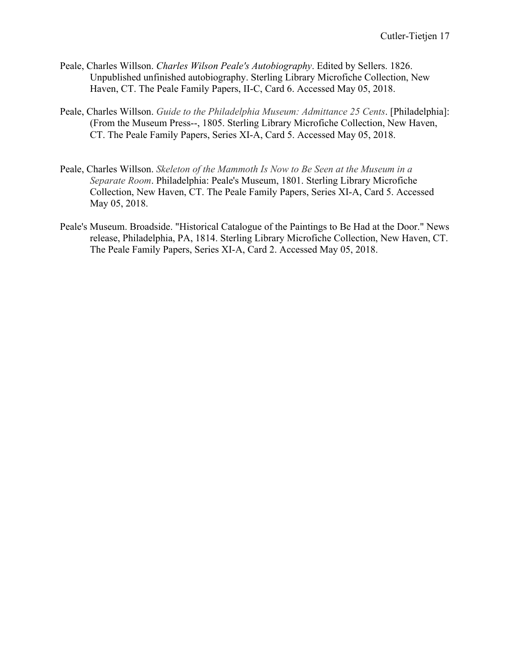- Peale, Charles Willson. *Charles Wilson Peale's Autobiography*. Edited by Sellers. 1826. Unpublished unfinished autobiography. Sterling Library Microfiche Collection, New Haven, CT. The Peale Family Papers, II-C, Card 6. Accessed May 05, 2018.
- Peale, Charles Willson. *Guide to the Philadelphia Museum: Admittance 25 Cents*. [Philadelphia]: (From the Museum Press--, 1805. Sterling Library Microfiche Collection, New Haven, CT. The Peale Family Papers, Series XI-A, Card 5. Accessed May 05, 2018.
- Peale, Charles Willson. *Skeleton of the Mammoth Is Now to Be Seen at the Museum in a Separate Room*. Philadelphia: Peale's Museum, 1801. Sterling Library Microfiche Collection, New Haven, CT. The Peale Family Papers, Series XI-A, Card 5. Accessed May 05, 2018.
- Peale's Museum. Broadside. "Historical Catalogue of the Paintings to Be Had at the Door." News release, Philadelphia, PA, 1814. Sterling Library Microfiche Collection, New Haven, CT. The Peale Family Papers, Series XI-A, Card 2. Accessed May 05, 2018.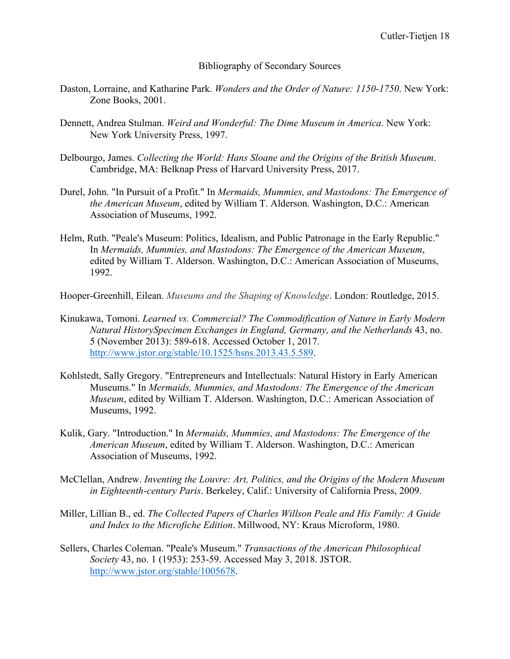Bibliography of Secondary Sources

- Daston, Lorraine, and Katharine Park. *Wonders and the Order of Nature: 1150-1750*. New York: Zone Books, 2001.
- Dennett, Andrea Stulman. *Weird and Wonderful: The Dime Museum in America*. New York: New York University Press, 1997.
- Delbourgo, James. *Collecting the World: Hans Sloane and the Origins of the British Museum*. Cambridge, MA: Belknap Press of Harvard University Press, 2017.
- Durel, John. "In Pursuit of a Profit." In *Mermaids, Mummies, and Mastodons: The Emergence of the American Museum*, edited by William T. Alderson. Washington, D.C.: American Association of Museums, 1992.
- Helm, Ruth. "Peale's Museum: Politics, Idealism, and Public Patronage in the Early Republic." In *Mermaids, Mummies, and Mastodons: The Emergence of the American Museum*, edited by William T. Alderson. Washington, D.C.: American Association of Museums, 1992.
- Hooper-Greenhill, Eilean. *Museums and the Shaping of Knowledge*. London: Routledge, 2015.
- Kinukawa, Tomoni. *Learned vs. Commercial? The Commodification of Nature in Early Modern Natural HistorySpecimen Exchanges in England, Germany, and the Netherlands* 43, no. 5 (November 2013): 589-618. Accessed October 1, 2017. http://www.jstor.org/stable/10.1525/hsns.2013.43.5.589.
- Kohlstedt, Sally Gregory. "Entrepreneurs and Intellectuals: Natural History in Early American Museums." In *Mermaids, Mummies, and Mastodons: The Emergence of the American Museum*, edited by William T. Alderson. Washington, D.C.: American Association of Museums, 1992.
- Kulik, Gary. "Introduction." In *Mermaids, Mummies, and Mastodons: The Emergence of the American Museum*, edited by William T. Alderson. Washington, D.C.: American Association of Museums, 1992.
- McClellan, Andrew. *Inventing the Louvre: Art, Politics, and the Origins of the Modern Museum in Eighteenth-century Paris*. Berkeley, Calif.: University of California Press, 2009.
- Miller, Lillian B., ed. *The Collected Papers of Charles Willson Peale and His Family: A Guide and Index to the Microfiche Edition*. Millwood, NY: Kraus Microform, 1980.
- Sellers, Charles Coleman. "Peale's Museum." *Transactions of the American Philosophical Society* 43, no. 1 (1953): 253-59. Accessed May 3, 2018. JSTOR. http://www.jstor.org/stable/1005678.